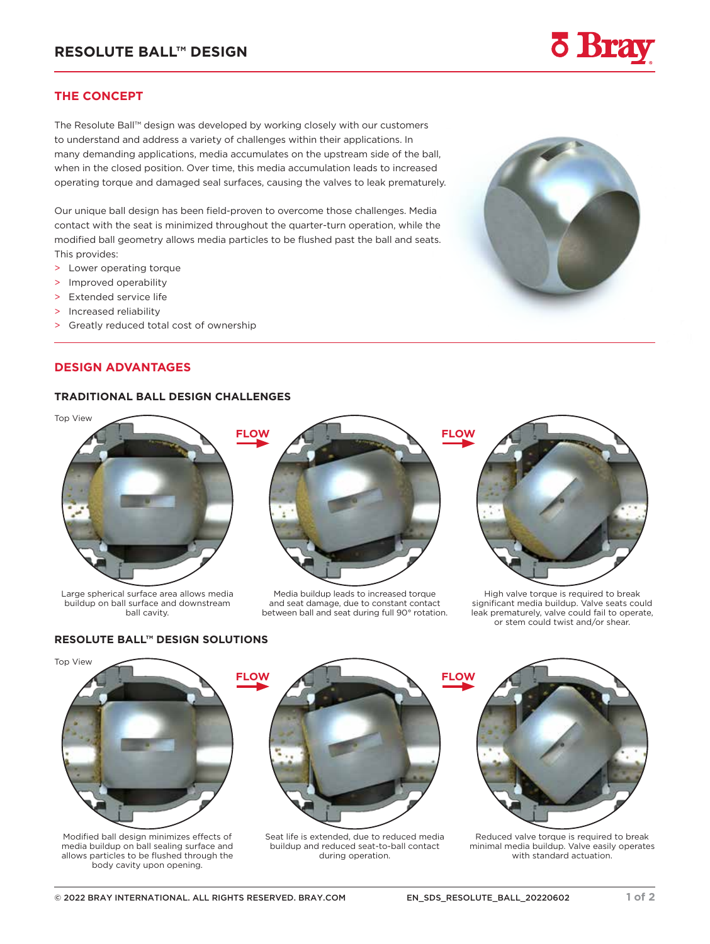# **THE CONCEPT**

The Resolute Ball™ design was developed by working closely with our customers to understand and address a variety of challenges within their applications. In many demanding applications, media accumulates on the upstream side of the ball, when in the closed position. Over time, this media accumulation leads to increased operating torque and damaged seal surfaces, causing the valves to leak prematurely.

Our unique ball design has been field-proven to overcome those challenges. Media contact with the seat is minimized throughout the quarter-turn operation, while the modified ball geometry allows media particles to be flushed past the ball and seats. This provides:

- > Lower operating torque
- > Improved operability
- > Extended service life
- > Increased reliability
- > Greatly reduced total cost of ownership

# **DESIGN ADVANTAGES**

# **TRADITIONAL BALL DESIGN CHALLENGES**



Large spherical surface area allows media buildup on ball surface and downstream ball cavity.



Media buildup leads to increased torque and seat damage, due to constant contact between ball and seat during full 90° rotation.





High valve torque is required to break significant media buildup. Valve seats could leak prematurely, valve could fail to operate, or stem could twist and/or shear.

# **RESOLUTE BALL™ DESIGN SOLUTIONS**



Modified ball design minimizes effects of media buildup on ball sealing surface and allows particles to be flushed through the body cavity upon opening.

Seat life is extended, due to reduced media buildup and reduced seat-to-ball contact during operation.



Reduced valve torque is required to break minimal media buildup. Valve easily operates with standard actuation.